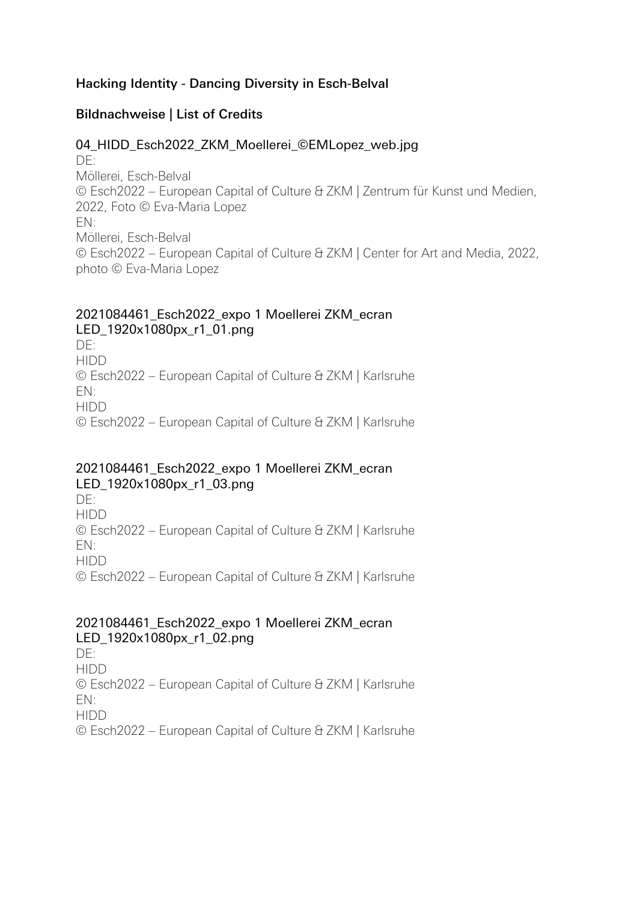### Hacking Identity - Dancing Diversity in Esch-Belval

## Bildnachweise | List of Credits

#### 04 HIDD Esch2022 ZKM Moellerei ©EMLopez web.jpg

 $DF:$ Möllerei, Esch-Belval © Esch2022 – European Capital of Culture & ZKM | Zentrum für Kunst und Medien, 2022, Foto © Eva-Maria Lopez EN: Möllerei, Esch-Belval © Esch2022 – European Capital of Culture & ZKM | Center for Art and Media, 2022, photo © Eva-Maria Lopez

#### 2021084461\_Esch2022\_expo 1 Moellerei ZKM\_ecran LED\_1920x1080px\_r1\_01.png

DE: HIDD © Esch2022 – European Capital of Culture & ZKM | Karlsruhe EN: HIDD © Esch2022 – European Capital of Culture & ZKM | Karlsruhe

### 2021084461\_Esch2022\_expo 1 Moellerei ZKM\_ecran LED\_1920x1080px\_r1\_03.png

 $DF:$ HIDD © Esch2022 – European Capital of Culture & ZKM | Karlsruhe EN: HIDD © Esch2022 – European Capital of Culture & ZKM | Karlsruhe

#### 2021084461\_Esch2022\_expo 1 Moellerei ZKM\_ecran LED\_1920x1080px\_r1\_02.png

 $DF:$ HIDD © Esch2022 – European Capital of Culture & ZKM | Karlsruhe EN: HIDD © Esch2022 – European Capital of Culture & ZKM | Karlsruhe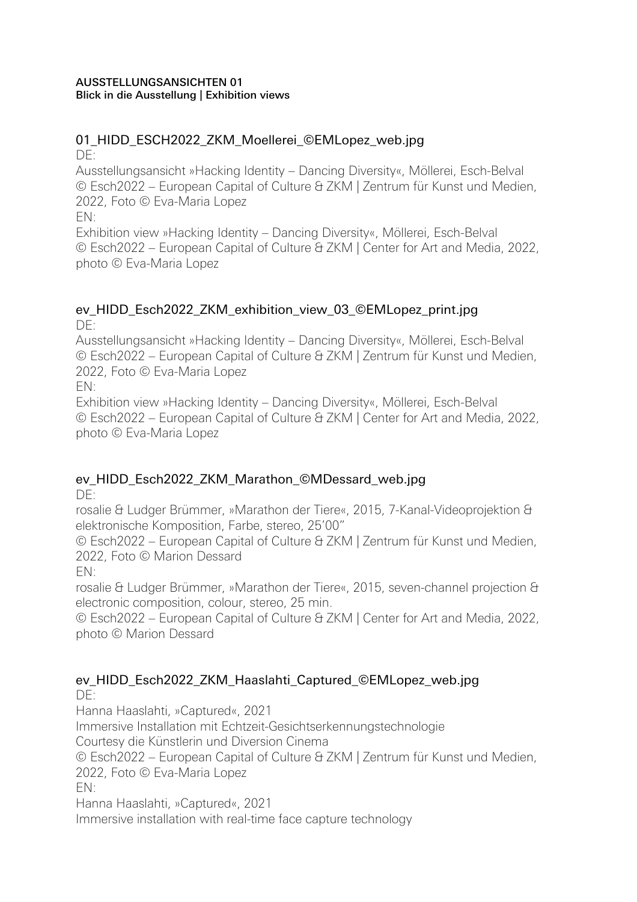#### AUSSTELLUNGSANSICHTEN 01 Blick in die Ausstellung | Exhibition views

#### 01\_HIDD\_ESCH2022\_ZKM\_Moellerei\_©EMLopez\_web.jpg DE:

Ausstellungsansicht »Hacking Identity – Dancing Diversity«, Möllerei, Esch-Belval © Esch2022 – European Capital of Culture & ZKM | Zentrum für Kunst und Medien, 2022, Foto © Eva-Maria Lopez

EN:

Exhibition view »Hacking Identity – Dancing Diversity«, Möllerei, Esch-Belval © Esch2022 – European Capital of Culture & ZKM | Center for Art and Media, 2022, photo © Eva-Maria Lopez

#### ev\_HIDD\_Esch2022\_ZKM\_exhibition\_view\_03\_©EMLopez\_print.jpg  $DF$

Ausstellungsansicht »Hacking Identity – Dancing Diversity«, Möllerei, Esch-Belval © Esch2022 – European Capital of Culture & ZKM | Zentrum für Kunst und Medien, 2022, Foto © Eva-Maria Lopez

EN:

Exhibition view »Hacking Identity – Dancing Diversity«, Möllerei, Esch-Belval © Esch2022 – European Capital of Culture & ZKM | Center for Art and Media, 2022, photo © Eva-Maria Lopez

# ev\_HIDD\_Esch2022\_ZKM\_Marathon\_©MDessard\_web.jpg

DE:

rosalie & Ludger Brümmer, »Marathon der Tiere«, 2015, 7-Kanal-Videoprojektion & elektronische Komposition, Farbe, stereo, 25'00"

© Esch2022 – European Capital of Culture & ZKM | Zentrum für Kunst und Medien, 2022, Foto © Marion Dessard

EN:

rosalie & Ludger Brümmer, »Marathon der Tiere«, 2015, seven-channel projection & electronic composition, colour, stereo, 25 min.

© Esch2022 – European Capital of Culture & ZKM | Center for Art and Media, 2022, photo © Marion Dessard

#### ev\_HIDD\_Esch2022\_ZKM\_Haaslahti\_Captured\_©EMLopez\_web.jpg  $DF$

Hanna Haaslahti, »Captured«, 2021 Immersive Installation mit Echtzeit-Gesichtserkennungstechnologie Courtesy die Künstlerin und Diversion Cinema © Esch2022 – European Capital of Culture & ZKM | Zentrum für Kunst und Medien, 2022, Foto © Eva-Maria Lopez EN: Hanna Haaslahti, »Captured«, 2021 Immersive installation with real-time face capture technology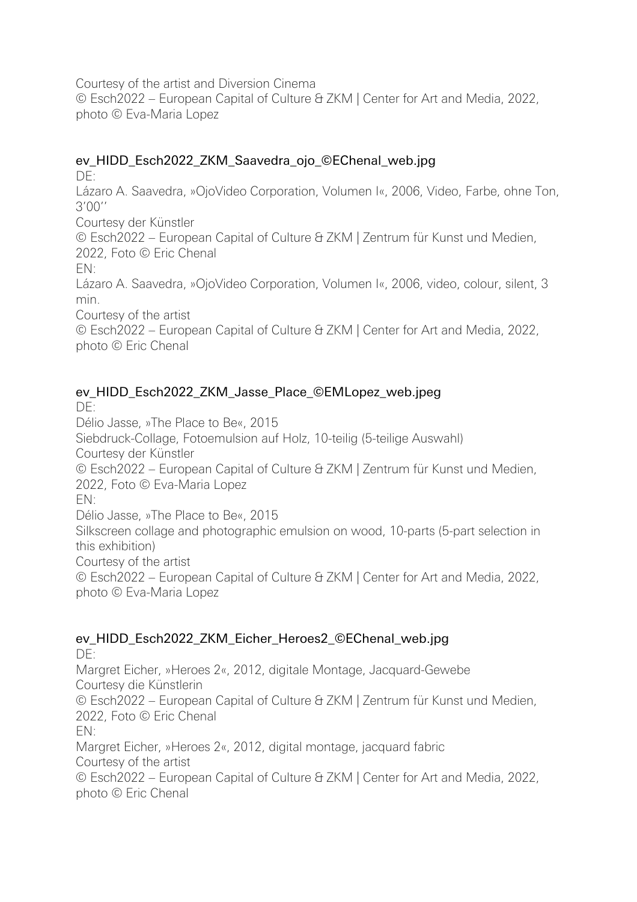Courtesy of the artist and Diversion Cinema

© Esch2022 – European Capital of Culture & ZKM | Center for Art and Media, 2022, photo © Eva-Maria Lopez

# ev\_HIDD\_Esch2022\_ZKM\_Saavedra\_ojo\_©EChenal\_web.jpg

DE:

Lázaro A. Saavedra, »OjoVideo Corporation, Volumen I«, 2006, Video, Farbe, ohne Ton, 3'00''

Courtesy der Künstler

© Esch2022 – European Capital of Culture & ZKM | Zentrum für Kunst und Medien, 2022, Foto © Eric Chenal

EN:

Lázaro A. Saavedra, »OjoVideo Corporation, Volumen I«, 2006, video, colour, silent, 3 min.

Courtesy of the artist

© Esch2022 – European Capital of Culture & ZKM | Center for Art and Media, 2022, photo © Eric Chenal

# ev\_HIDD\_Esch2022\_ZKM\_Jasse\_Place\_©EMLopez\_web.jpeg

 $DF$ 

Délio Jasse, »The Place to Be«, 2015

Siebdruck-Collage, Fotoemulsion auf Holz, 10-teilig (5-teilige Auswahl) Courtesy der Künstler

© Esch2022 – European Capital of Culture & ZKM | Zentrum für Kunst und Medien, 2022, Foto © Eva-Maria Lopez

EN:

Délio Jasse, »The Place to Be«, 2015

Silkscreen collage and photographic emulsion on wood, 10-parts (5-part selection in this exhibition)

Courtesy of the artist

© Esch2022 – European Capital of Culture & ZKM | Center for Art and Media, 2022, photo © Eva-Maria Lopez

# ev\_HIDD\_Esch2022\_ZKM\_Eicher\_Heroes2\_©EChenal\_web.jpg

DE: Margret Eicher, »Heroes 2«, 2012, digitale Montage, Jacquard-Gewebe Courtesy die Künstlerin © Esch2022 – European Capital of Culture & ZKM | Zentrum für Kunst und Medien, 2022, Foto © Eric Chenal EN: Margret Eicher, »Heroes 2«, 2012, digital montage, jacquard fabric Courtesy of the artist © Esch2022 – European Capital of Culture & ZKM | Center for Art and Media, 2022, photo © Eric Chenal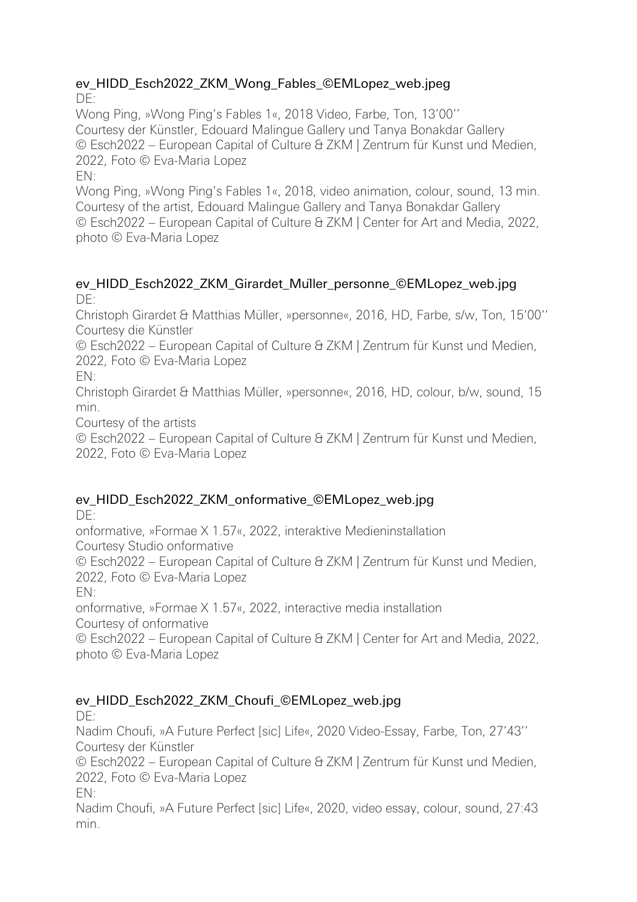#### ev\_HIDD\_Esch2022\_ZKM\_Wong\_Fables\_©EMLopez\_web.jpeg DE:

Wong Ping, »Wong Ping's Fables 1«, 2018 Video, Farbe, Ton, 13'00''

Courtesy der Künstler, Edouard Malingue Gallery und Tanya Bonakdar Gallery © Esch2022 – European Capital of Culture & ZKM | Zentrum für Kunst und Medien, 2022, Foto © Eva-Maria Lopez

EN:

Wong Ping, »Wong Ping's Fables 1«, 2018, video animation, colour, sound, 13 min. Courtesy of the artist, Edouard Malingue Gallery and Tanya Bonakdar Gallery © Esch2022 – European Capital of Culture & ZKM | Center for Art and Media, 2022, photo © Eva-Maria Lopez

# ev\_HIDD\_Esch2022\_ZKM\_Girardet\_Müller\_personne\_©EMLopez\_web.jpg  $DF:$

Christoph Girardet & Matthias Müller, »personne«, 2016, HD, Farbe, s/w, Ton, 15'00'' Courtesy die Künstler

© Esch2022 – European Capital of Culture & ZKM | Zentrum für Kunst und Medien, 2022, Foto © Eva-Maria Lopez

EN:

Christoph Girardet & Matthias Müller, »personne«, 2016, HD, colour, b/w, sound, 15 min.

Courtesy of the artists

© Esch2022 – European Capital of Culture & ZKM | Zentrum für Kunst und Medien, 2022, Foto © Eva-Maria Lopez

# ev\_HIDD\_Esch2022\_ZKM\_onformative\_©EMLopez\_web.jpg

 $DF$ 

onformative, »Formae X 1.57«, 2022, interaktive Medieninstallation Courtesy Studio onformative

© Esch2022 – European Capital of Culture & ZKM | Zentrum für Kunst und Medien, 2022, Foto © Eva-Maria Lopez

EN:

onformative, »Formae X 1.57«, 2022, interactive media installation

Courtesy of onformative

© Esch2022 – European Capital of Culture & ZKM | Center for Art and Media, 2022, photo © Eva-Maria Lopez

# ev\_HIDD\_Esch2022\_ZKM\_Choufi\_©EMLopez\_web.jpg

DE:

Nadim Choufi, »A Future Perfect [sic] Life«, 2020 Video-Essay, Farbe, Ton, 27'43'' Courtesy der Künstler

© Esch2022 – European Capital of Culture & ZKM | Zentrum für Kunst und Medien, 2022, Foto © Eva-Maria Lopez

EN:

Nadim Choufi, »A Future Perfect [sic] Life«, 2020, video essay, colour, sound, 27:43 min.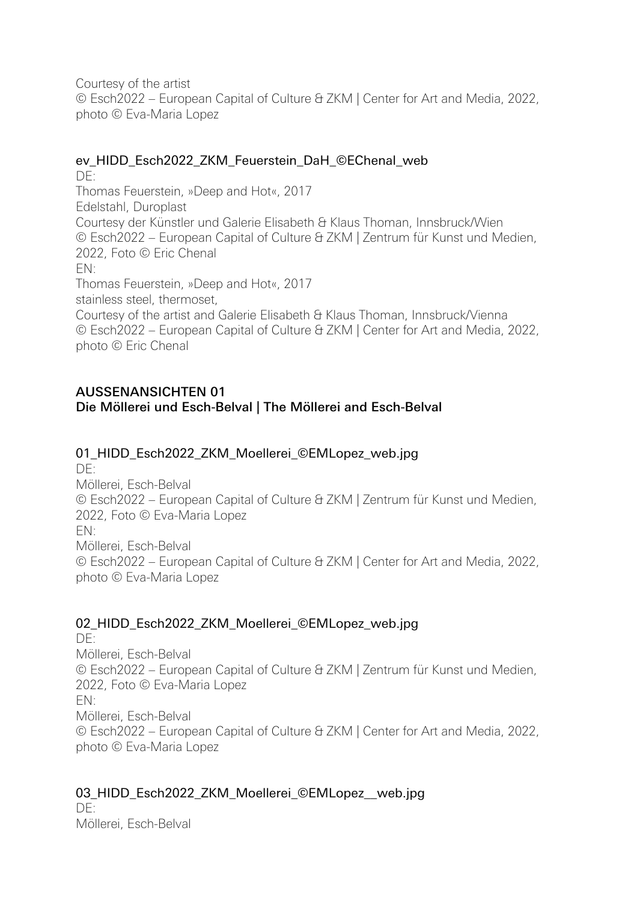Courtesy of the artist © Esch2022 – European Capital of Culture & ZKM | Center for Art and Media, 2022, photo © Eva-Maria Lopez

### ev HIDD Esch2022 ZKM Feuerstein DaH ©EChenal web

DE: Thomas Feuerstein, »Deep and Hot«, 2017 Edelstahl, Duroplast Courtesy der Künstler und Galerie Elisabeth & Klaus Thoman, Innsbruck/Wien © Esch2022 – European Capital of Culture & ZKM | Zentrum für Kunst und Medien, 2022, Foto © Eric Chenal EN: Thomas Feuerstein, »Deep and Hot«, 2017 stainless steel, thermoset, Courtesy of the artist and Galerie Elisabeth & Klaus Thoman, Innsbruck/Vienna © Esch2022 – European Capital of Culture & ZKM | Center for Art and Media, 2022, photo © Eric Chenal

## AUSSENANSICHTEN 01 Die Möllerei und Esch-Belval | The Möllerei and Esch-Belval

## 01\_HIDD\_Esch2022\_ZKM\_Moellerei\_©EMLopez\_web.jpg

DE: Möllerei, Esch-Belval © Esch2022 – European Capital of Culture & ZKM | Zentrum für Kunst und Medien, 2022, Foto © Eva-Maria Lopez EN: Möllerei, Esch-Belval © Esch2022 – European Capital of Culture & ZKM | Center for Art and Media, 2022, photo © Eva-Maria Lopez

### 02\_HIDD\_Esch2022\_ZKM\_Moellerei\_©EMLopez\_web.jpg

DE: Möllerei, Esch-Belval © Esch2022 – European Capital of Culture & ZKM | Zentrum für Kunst und Medien, 2022, Foto © Eva-Maria Lopez EN: Möllerei, Esch-Belval © Esch2022 – European Capital of Culture & ZKM | Center for Art and Media, 2022, photo © Eva-Maria Lopez

## 03\_HIDD\_Esch2022\_ZKM\_Moellerei\_©EMLopez\_web.jpg

 $DF$ Möllerei, Esch-Belval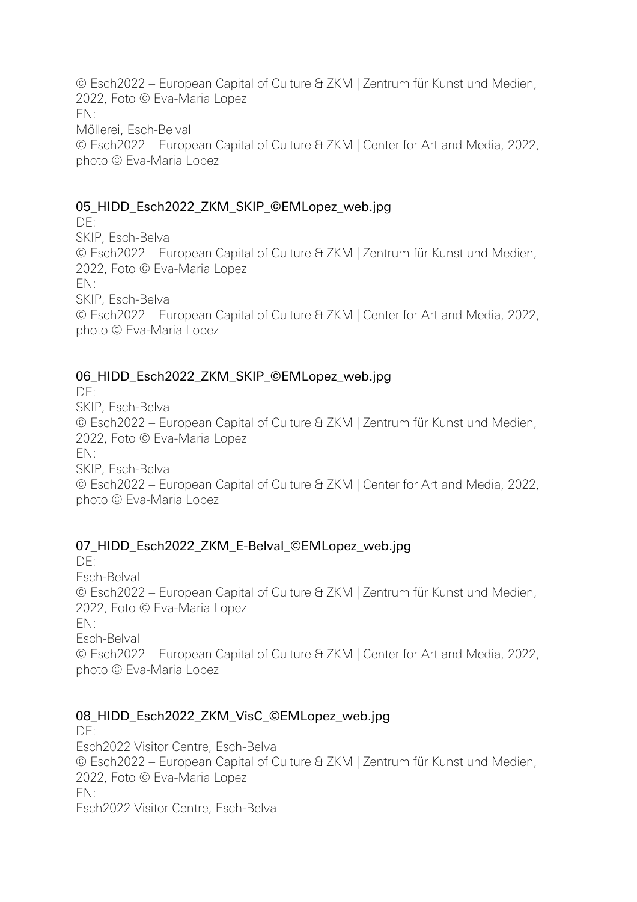© Esch2022 – European Capital of Culture & ZKM | Zentrum für Kunst und Medien, 2022, Foto © Eva-Maria Lopez EN: Möllerei, Esch-Belval © Esch2022 – European Capital of Culture & ZKM | Center for Art and Media, 2022, photo © Eva-Maria Lopez

# 05\_HIDD\_Esch2022\_ZKM\_SKIP\_©EMLopez\_web.jpg

DE: SKIP, Esch-Belval © Esch2022 – European Capital of Culture & ZKM | Zentrum für Kunst und Medien, 2022, Foto © Eva-Maria Lopez EN: SKIP, Esch-Belval © Esch2022 – European Capital of Culture & ZKM | Center for Art and Media, 2022, photo © Eva-Maria Lopez

# 06 HIDD Esch2022 ZKM SKIP ©EMLopez web.jpg

DE: SKIP, Esch-Belval © Esch2022 – European Capital of Culture & ZKM | Zentrum für Kunst und Medien, 2022, Foto © Eva-Maria Lopez EN: SKIP, Esch-Belval © Esch2022 – European Capital of Culture & ZKM | Center for Art and Media, 2022, photo © Eva-Maria Lopez

# 07 HIDD Esch2022 ZKM E-Belval ©EMLopez web.jpg

 $DF$ Esch-Belval © Esch2022 – European Capital of Culture & ZKM | Zentrum für Kunst und Medien, 2022, Foto © Eva-Maria Lopez EN: Esch-Belval © Esch2022 – European Capital of Culture & ZKM | Center for Art and Media, 2022, photo © Eva-Maria Lopez

# 08\_HIDD\_Esch2022\_ZKM\_VisC\_©EMLopez\_web.jpg

DE: Esch2022 Visitor Centre, Esch-Belval © Esch2022 – European Capital of Culture & ZKM | Zentrum für Kunst und Medien, 2022, Foto © Eva-Maria Lopez EN: Esch2022 Visitor Centre, Esch-Belval